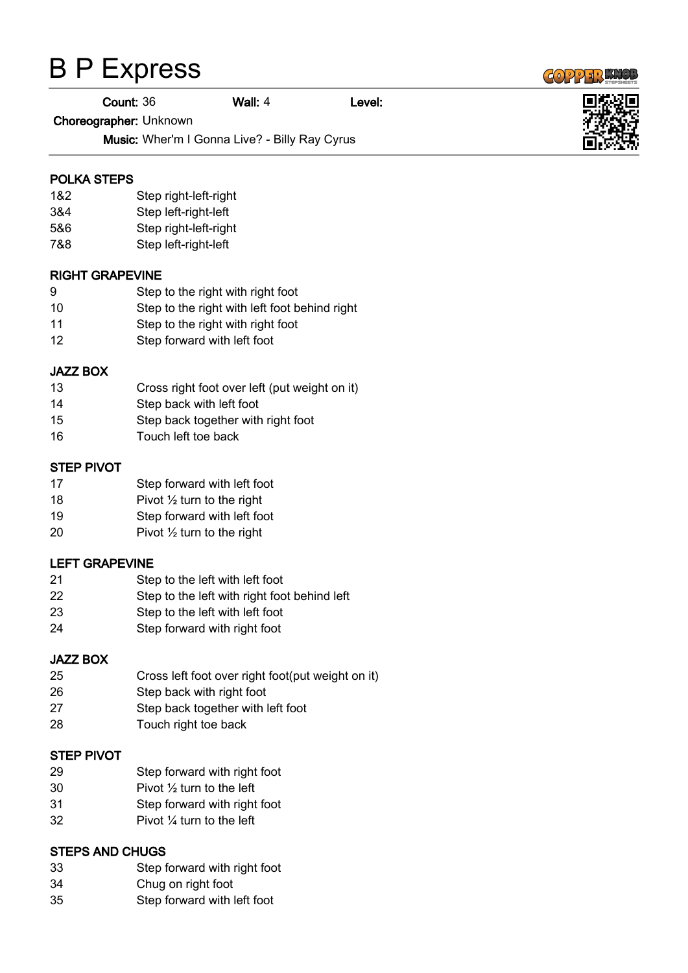# B P Express

Count: 36 Wall: 4 Level:

Choreographer: Unknown

Music: Wher'm I Gonna Live? - Billy Ray Cyrus

## POLKA STEPS

- 1&2 Step right-left-right
- 3&4 Step left-right-left
- 5&6 Step right-left-right
- 7&8 Step left-right-left

## RIGHT GRAPEVINE

- Step to the right with right foot
- Step to the right with left foot behind right
- Step to the right with right foot
- Step forward with left foot

## JAZZ BOX

- Cross right foot over left (put weight on it)
- Step back with left foot
- Step back together with right foot
- Touch left toe back

## STEP PIVOT

- Step forward with left foot
- 18 Pivot  $\frac{1}{2}$  turn to the right
- Step forward with left foot
- Pivot ½ turn to the right

## LEFT GRAPEVINE

- Step to the left with left foot
- Step to the left with right foot behind left
- Step to the left with left foot
- Step forward with right foot

#### JAZZ BOX

- Cross left foot over right foot(put weight on it)
- Step back with right foot
- Step back together with left foot
- Touch right toe back

#### STEP PIVOT

- Step forward with right foot
- Pivot ½ turn to the left
- Step forward with right foot
- Pivot ¼ turn to the left

#### STEPS AND CHUGS

- Step forward with right foot
- Chug on right foot
- Step forward with left foot